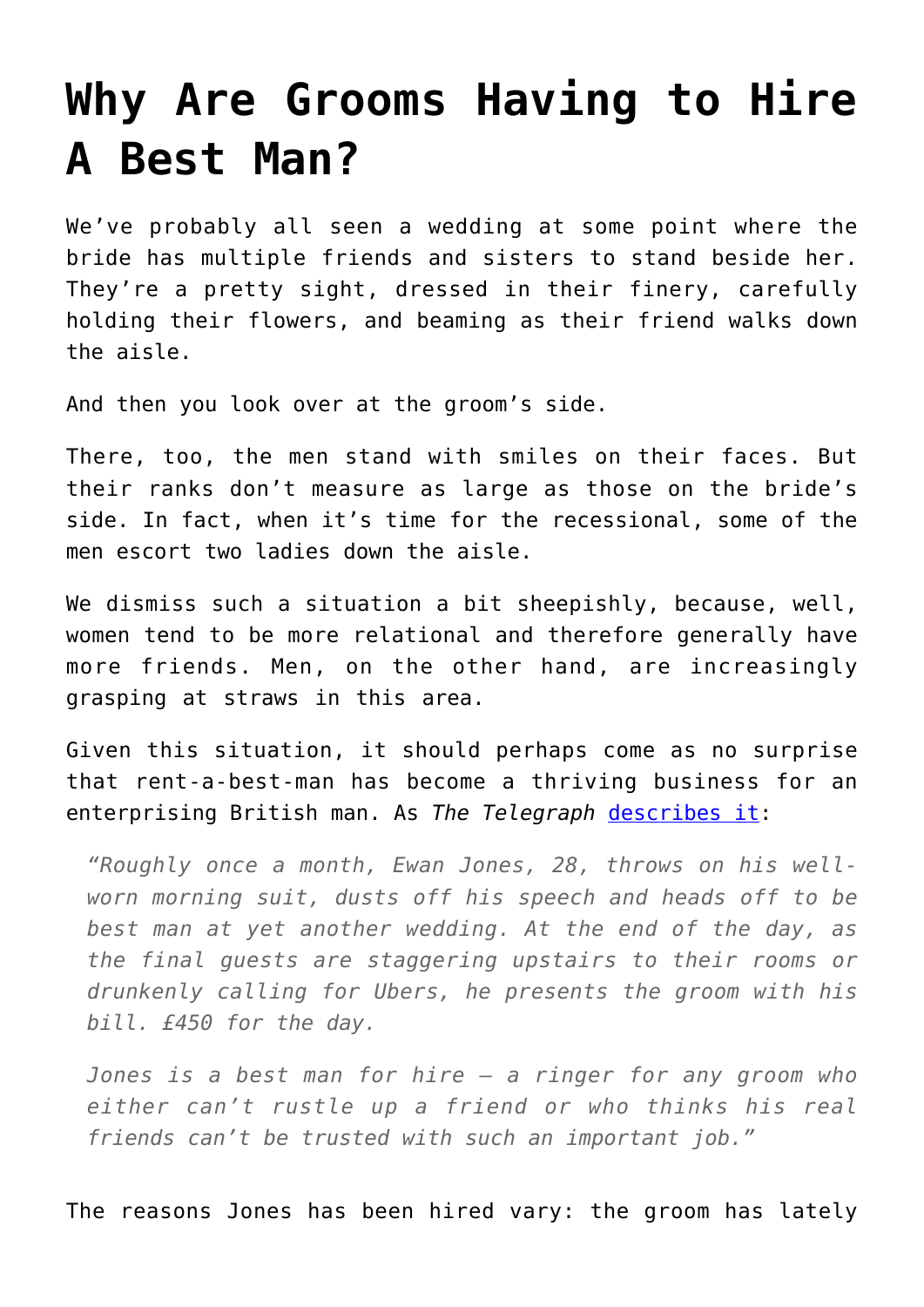## **[Why Are Grooms Having to Hire](https://intellectualtakeout.org/2017/03/why-are-grooms-having-to-hire-a-best-man/) [A Best Man?](https://intellectualtakeout.org/2017/03/why-are-grooms-having-to-hire-a-best-man/)**

We've probably all seen a wedding at some point where the bride has multiple friends and sisters to stand beside her. They're a pretty sight, dressed in their finery, carefully holding their flowers, and beaming as their friend walks down the aisle.

And then you look over at the groom's side.

There, too, the men stand with smiles on their faces. But their ranks don't measure as large as those on the bride's side. In fact, when it's time for the recessional, some of the men escort two ladies down the aisle.

We dismiss such a situation a bit sheepishly, because, well, women tend to be more relational and therefore generally have more friends. Men, on the other hand, are increasingly grasping at straws in this area.

Given this situation, it should perhaps come as no surprise that rent-a-best-man has become a thriving business for an enterprising British man. As *The Telegraph* [describes it:](http://www.telegraph.co.uk/men/relationships/hiring-isnt-sordid-meet-real-life-wedding-ringer-will-best-man/)

*"Roughly once a month, Ewan Jones, 28, throws on his wellworn morning suit, dusts off his speech and heads off to be best man at yet another wedding. At the end of the day, as the final guests are staggering upstairs to their rooms or drunkenly calling for Ubers, he presents the groom with his bill. £450 for the day.*

*Jones is a best man for hire – a ringer for any groom who either can't rustle up a friend or who thinks his real friends can't be trusted with such an important job."*

The reasons Jones has been hired vary: the groom has lately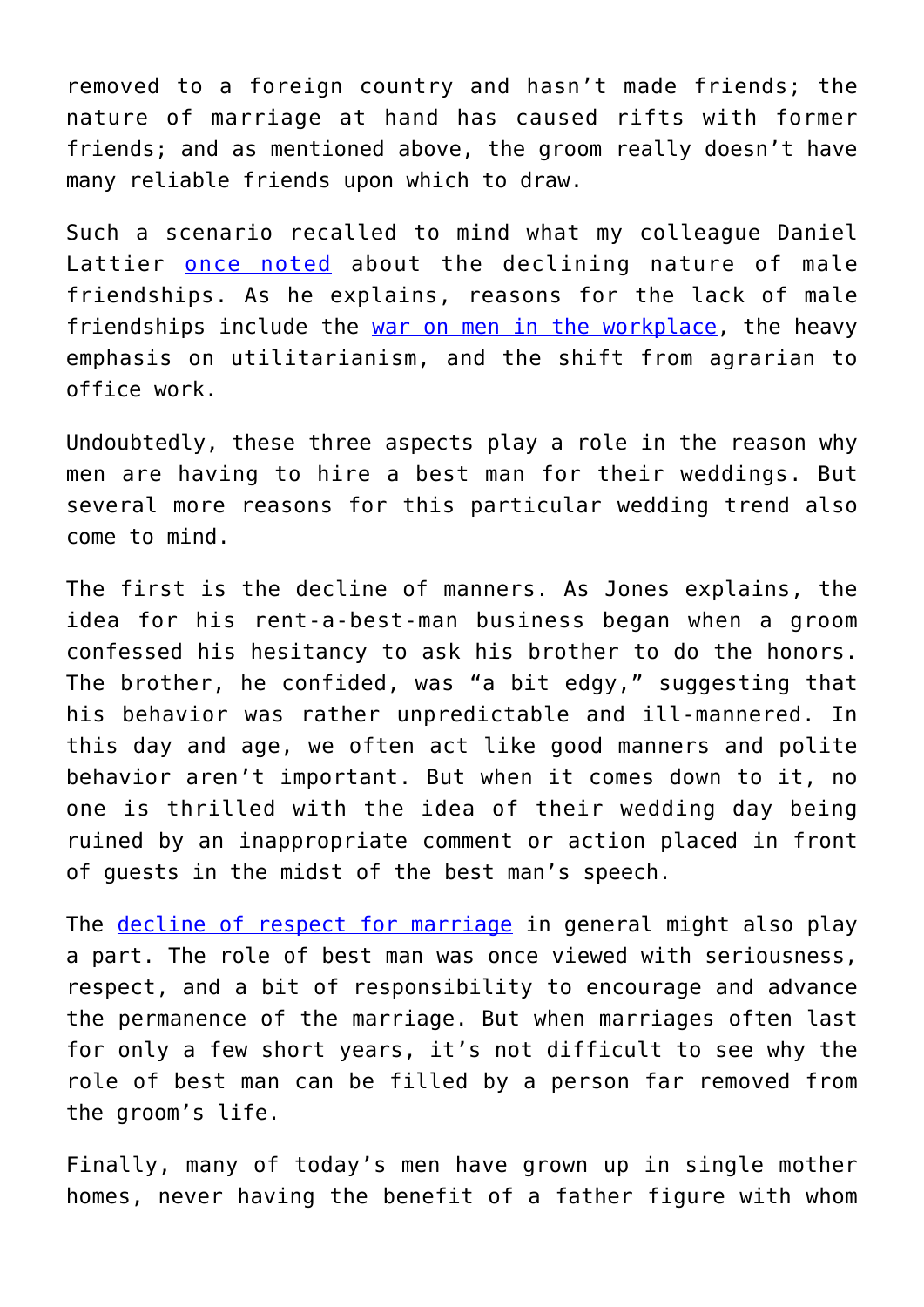removed to a foreign country and hasn't made friends; the nature of marriage at hand has caused rifts with former friends; and as mentioned above, the groom really doesn't have many reliable friends upon which to draw.

Such a scenario recalled to mind what my colleague Daniel Lattier [once noted](https://www.intellectualtakeout.org/blog/why-so-many-men-are-friendless) about the declining nature of male friendships. As he explains, reasons for the lack of male friendships include the [war on men in the workplace](https://www.bloomberg.com/view/articles/2016-03-09/the-war-on-men-in-the-workplace), the heavy emphasis on utilitarianism, and the shift from agrarian to office work.

Undoubtedly, these three aspects play a role in the reason why men are having to hire a best man for their weddings. But several more reasons for this particular wedding trend also come to mind.

The first is the decline of manners. As Jones explains, the idea for his rent-a-best-man business began when a groom confessed his hesitancy to ask his brother to do the honors. The brother, he confided, was "a bit edgy," suggesting that his behavior was rather unpredictable and ill-mannered. In this day and age, we often act like good manners and polite behavior aren't important. But when it comes down to it, no one is thrilled with the idea of their wedding day being ruined by an inappropriate comment or action placed in front of guests in the midst of the best man's speech.

The [decline of respect for marriage](https://ifstudies.org/blog/the-role-of-culture-in-declining-marriage-rates/) in general might also play a part. The role of best man was once viewed with seriousness, respect, and a bit of responsibility to encourage and advance the permanence of the marriage. But when marriages often last for only a few short years, it's not difficult to see why the role of best man can be filled by a person far removed from the groom's life.

Finally, many of today's men have grown up in single mother homes, never having the benefit of a father figure with whom